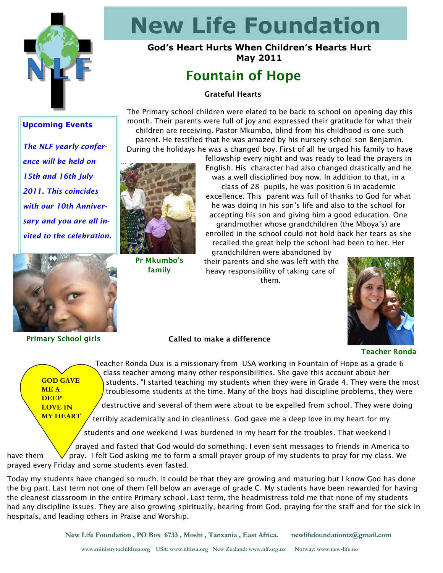

# **New Life Foundation**

## **God's Heart Hurts When Children's Hearts Hurt May 2011**

# **Fountain of Hope**

### **Grateful Hearts**

**Upcoming Events**

*The NLF yearly conference will be held on 15th and 16th July 2011. This coincides with our 10th Anniversary and you are all invited to the celebration.*



**Pr Mkumbo's family**

The Primary school children were elated to be back to school on opening day this month. Their parents were full of joy and expressed their gratitude for what their children are receiving. Pastor Mkumbo, blind from his childhood is one such parent. He testified that he was amazed by his nursery school son Benjamin. During the holidays he was a changed boy. First of all he urged his family to have

fellowship every night and was ready to lead the prayers in English. His character had also changed drastically and he was a well disciplined boy now. In addition to that, in a class of 28 pupils, he was position 6 in academic excellence. This parent was full of thanks to God for what he was doing in his son"s life and also to the school for accepting his son and giving him a good education. One grandmother whose grandchildren (the Mboya"s) are enrolled in the school could not hold back her tears as she recalled the great help the school had been to her. Her

grandchildren were abandoned by their parents and she was left with the heavy responsibility of taking care of them.



**GOD GAVE ME A DEEP LOVE IN** 

**Primary School girls Called to make a difference** 

#### **Teacher Ronda**

**MY HEART**

Teacher Ronda Dux is a missionary from USA working in Fountain of Hope as a grade 6 class teacher among many other responsibilities. She gave this account about her students. "I started teaching my students when they were in Grade 4. They were the most troublesome students at the time. Many of the boys had discipline problems, they were

destructive and several of them were about to be expelled from school. They were doing

terribly academically and in cleanliness. God gave me a deep love in my heart for my

students and one weekend I was burdened in my heart for the troubles. That weekend I

 prayed and fasted that God would do something. I even sent messages to friends in America to have them  $\forall$  pray. I felt God asking me to form a small prayer group of my students to pray for my class. We prayed every Friday and some students even fasted.

Today my students have changed so much. It could be that they are growing and maturing but I know God has done the big part. Last term not one of them fell below an average of grade C. My students have been rewarded for having the cleanest classroom in the entire Primary school. Last term, the headmistress told me that none of my students had any discipline issues. They are also growing spiritually, hearing from God, praying for the staff and for the sick in hospitals, and leading others in Praise and Worship.

 **New Life Foundation , PO Box 6733 , Moshi , Tanzania , East Africa. newlifefoundationtz@gmail.com**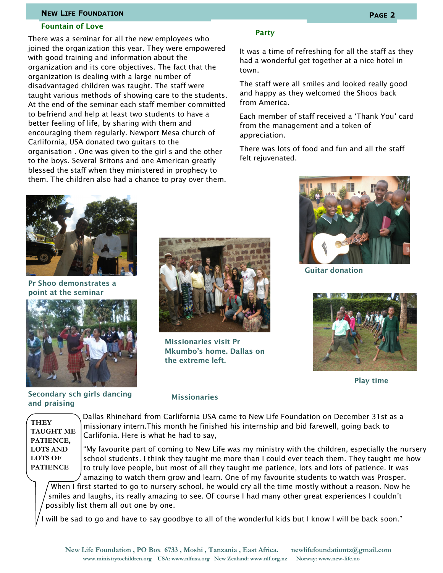#### **NEW LIFE FOUNDATION PAGE 2**

#### **Fountain of Love**

There was a seminar for all the new employees who joined the organization this year. They were empowered with good training and information about the organization and its core objectives. The fact that the organization is dealing with a large number of disadvantaged children was taught. The staff were taught various methods of showing care to the students. At the end of the seminar each staff member committed to befriend and help at least two students to have a better feeling of life, by sharing with them and encouraging them regularly. Newport Mesa church of Carlifornia, USA donated two guitars to the organisation . One was given to the girl s and the other to the boys. Several Britons and one American greatly blessed the staff when they ministered in prophecy to them. The children also had a chance to pray over them.

#### **Party**

It was a time of refreshing for all the staff as they had a wonderful get together at a nice hotel in town.

The staff were all smiles and looked really good and happy as they welcomed the Shoos back from America.

Each member of staff received a "Thank You" card from the management and a token of appreciation.

There was lots of food and fun and all the staff felt rejuvenated.



**Pr Shoo demonstrates a point at the seminar**



**Secondary sch girls dancing and praising**



**Missionaries visit Pr Mkumbo's home. Dallas on the extreme left.**



**Guitar donation**



**Play time**

**THEY TAUGHT ME PATIENCE, LOTS AND LOTS OF PATIENCE**

#### **Missionaries**

Dallas Rhinehard from Carlifornia USA came to New Life Foundation on December 31st as a missionary intern.This month he finished his internship and bid farewell, going back to Carlifonia. Here is what he had to say,

"My favourite part of coming to New Life was my ministry with the children, especially the nursery school students. I think they taught me more than I could ever teach them. They taught me how to truly love people, but most of all they taught me patience, lots and lots of patience. It was amazing to watch them grow and learn. One of my favourite students to watch was Prosper.

When I first started to go to nursery school, he would cry all the time mostly without a reason. Now he smiles and laughs, its really amazing to see. Of course I had many other great experiences I couldn"t possibly list them all out one by one.

will be sad to go and have to say goodbye to all of the wonderful kids but I know I will be back soon."